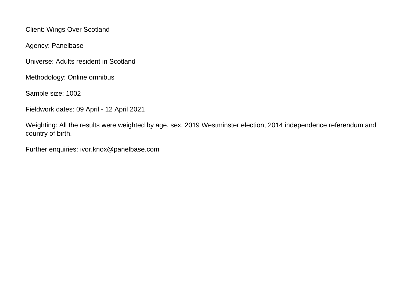Client: Wings Over Scotland

Agency: Panelbase

Universe: Adults resident in Scotland

Methodology: Online omnibus

Sample size: 1002

Fieldwork dates: 09 April - 12 April 2021

Weighting: All the results were weighted by age, sex, 2019 Westminster election, 2014 independence referendum and country of birth.

Further enquiries: ivor.knox@panelbase.com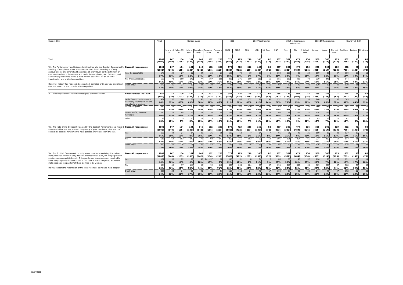| Base: 1,002                                                                                                                                                                                                                                                                                                                                                                                                                                                           |                                                                                      | Total             | Gender x Age              |              |                  |                       |                 |                         | SEG              |                               | 2019 Westminster |                 |            |                       |                 | 2014 Independence<br>Referendum |                   |                  | 2016 EU Referendum |                             | Country of Birth  |                    |            |  |
|-----------------------------------------------------------------------------------------------------------------------------------------------------------------------------------------------------------------------------------------------------------------------------------------------------------------------------------------------------------------------------------------------------------------------------------------------------------------------|--------------------------------------------------------------------------------------|-------------------|---------------------------|--------------|------------------|-----------------------|-----------------|-------------------------|------------------|-------------------------------|------------------|-----------------|------------|-----------------------|-----------------|---------------------------------|-------------------|------------------|--------------------|-----------------------------|-------------------|--------------------|------------|--|
|                                                                                                                                                                                                                                                                                                                                                                                                                                                                       |                                                                                      |                   | Male x 16 Male x 35<br>34 | 54           | Male x<br>$55+$  | Female x<br>$16 - 34$ | 35-54           | Female x Female x<br>55 | ABC1             | C <sub>2</sub> D <sub>E</sub> | CON              | LAB             | Lib Dem    | SNP                   | Yes             | No                              | I did not<br>vote | Remain           | Leave              | Did not<br>vote             | Scotland i        | England All others |            |  |
| Total                                                                                                                                                                                                                                                                                                                                                                                                                                                                 |                                                                                      | 1002<br>(1002)    | 147<br>(140)              | 154<br>(155) | 181<br>(186)     | 145<br>(142)          | 162<br>(156)    | 209<br>(219)            | 579<br>(580)     | 423<br>(422)                  | 216<br>(237)     | 160<br>(139)    | 82<br>(72) | 387<br>(393)          | 387<br>(382)    | 479<br>(484)                    | 136<br>(136)      | 568<br>(565)     | 305<br>(314)       | 129<br>(123)                | 832<br>(789)      | 90<br>(140)        | 80<br>(73) |  |
| W1. The Parliamentary and independent inquiries into the Scottish Government's<br>handling of complaints about Alex Salmond both found a catalogue of very<br>serious failures and errors had been made at every level, to the detriment of<br>everyone involved - the women who made the complaints, Alex Salmond, and<br>Scottish taxpayers who footed a multi-million pound bill for an unlawful                                                                   | <b>Base: All respondents</b>                                                         | 1002<br>(1002)    | 147<br>(140)              | 154<br>(155) | 181<br>(186)     | 145<br>(142)          | 162<br>(156)    | 209<br>(219)            | 579<br>(580)     | 423<br>(422)                  | 216<br>(237)     | 160<br>(139)    | 82<br>(72) | 387<br>(393)          | 387<br>(382)    | 479<br>(484)                    | 136<br>(136)      | 568<br>(565)     | 305<br>(314)       | 129<br>(123)                | 832<br>(789)      | 90<br>(140)        | 80<br>(73) |  |
|                                                                                                                                                                                                                                                                                                                                                                                                                                                                       | Yes, it's acceptable                                                                 | 173<br>17%        | 39<br>27%                 | 27<br>18%    | 22<br>12%        | 34<br>24%             | 25<br>15%       | 27<br>13%               | 103<br>18%       | 70<br>17%                     | 10<br>5%         | 27<br>17%       | 7%         | 108<br>28%            | 117<br>30%      | 32<br>7%                        | 24<br>18%         | 109<br>19%       | 38<br>12%          | $2^{\circ}$<br><b>21%</b>   | 150<br>18%        | 13<br>14%          | 11<br>14%  |  |
| investigation and a failed prosecution.<br>However, nobody has resigned, been sacked, demoted or in any way disciplined                                                                                                                                                                                                                                                                                                                                               | No, it's unacceptable                                                                | 659<br>66%        | 73<br>49%                 | 100<br>65%   | 142<br>78%       | -77<br>53%            | 107<br>66%      | 156<br><b>75%</b>       | 382<br>66%       | 276<br>65%                    | 199<br>92%       | 116<br>72%      | 66<br>80%  | 185<br>48%            | 183<br>47%      | 402<br>84%                      | 73<br>54%         | 339<br>60%       | 248<br>81%         | - 71<br><b>55%</b>          | 544<br>65%        | 61<br>68%          | 54<br>67%  |  |
| over the issue. Do you consider this acceptable?                                                                                                                                                                                                                                                                                                                                                                                                                      | Don't know                                                                           | 170<br><b>17%</b> | 35 <sub>1</sub><br>24%    | 27<br>17%    | 17<br>10%        | 34<br><b>24%</b>      | 30<br>19%       | 26<br>13%               | 94<br>16%        | 77<br>18%                     | 3%               | 17<br>11%       | 10<br>12%  | 93<br>24%             | 87<br>22%       | 45<br>9%                        | 38<br>28%         | 120<br>21%       | 19<br>6%           | 31<br>24%                   | 138<br>17%        | 16<br>18%          | 15<br>19%  |  |
| W2. Who do you think should have resigned or been sacked?                                                                                                                                                                                                                                                                                                                                                                                                             | Base: Selected 'No' at W1                                                            | 659<br>(660)      | 73<br>(70)                | 100<br>(101) | 142<br>(146)     | 77<br>(75)            | 107<br>(102)    | 156<br>(162)            | 382<br>(386)     | 276<br>(274)                  | 199<br>(219)     | 116<br>(102)    | 66<br>(58) | 185<br>(187)          | 183<br>(179)    | 402<br>(407)                    | - 73<br>(74)      | 339<br>(335)     | 248<br>(258)       | 71<br>(67)                  | 544<br>(517)      | 61<br>(94)         | 54<br>(49) |  |
|                                                                                                                                                                                                                                                                                                                                                                                                                                                                       | Leslie Evans, the Permanent<br>Secretary responsible for the<br>complaints procedure | 437<br>66%        | 50<br>69%                 | 80<br>80%    | 99<br>69%        | 45<br>58%             | 61<br>57%       | 101<br>65%              | 273<br>71%       | 165<br>60%                    | 132<br>66%       | 71<br>61%       | 49<br>74%  | 132<br>71%            | 139<br>76%      | 260<br>65%                      | 38<br>52%         | 240<br>71%       | 160<br>65%         | 37<br><b>52%</b>            | 365<br>67%        | 39<br>64%          | 33<br>62%  |  |
|                                                                                                                                                                                                                                                                                                                                                                                                                                                                       | Nicola Sturgeon                                                                      | 364<br>55%        | 34<br>47%                 | 68<br>68%    | 97<br>68%        | 21<br>28%             | 56<br>52%       | 86<br>55%               | 217<br>57%       | 147<br>53%                    | 176<br>89%       | 69<br>59%       | 39<br>59%  | 4 <sup>5</sup><br>24% | 52<br>28%       | 288<br>72%                      | 24<br>32%         | 160<br>47%       | 181<br>73%         | 23<br>32%                   | 307<br>56%        | 40<br>65%          | 17<br>32%  |  |
|                                                                                                                                                                                                                                                                                                                                                                                                                                                                       | James Wolffe, the Lord<br>Advocate<br>Other                                          | 260<br>40%        | 23<br>32%<br>10           | 48<br>48%    | 72<br>51%<br>-11 | 28<br>36%<br>-11      | 34<br>32%       | 54<br>34%<br>20         | 165<br>43%<br>42 | 95<br>34%<br>36               | 98<br>49%<br>13  | 48<br>41%<br>13 | 24<br>36%  | 64<br>34%             | 64<br>35%<br>26 | 174<br>43%<br>37                | 22<br>30%<br>16   | 124<br>36%<br>45 | 117<br>47%<br>18   | 20<br><b>28%</b>            | 227<br>42%<br>67  | 21<br>35%          | 12<br>22%  |  |
|                                                                                                                                                                                                                                                                                                                                                                                                                                                                       |                                                                                      | 12%               | 13%                       | <b>5%</b>    | 8%               | 15%                   | 17%             | 13%                     | 11%              | 13%                           | <b>7%</b>        | 11%             | 13%        | 15%                   | 14%             | 9%                              | 22%               | 13%              | 7%                 | 21%                         | 12%               | 8%                 | 12%        |  |
| W3. The Hate Crime Bill recently passed by the Scottish Parliament could make it<br>a criminal offence to say, even in the privacy of your own home, that you don't<br>believe it's possible for women to have penises. Do you support this law?                                                                                                                                                                                                                      | <b>Base: All respondents</b>                                                         | 1002<br>(1002)    | 147<br>(140)              | 154<br>(155) | 181<br>(186)     | 145<br>(142)          | 162<br>(156)    | 209<br>(219)            | 579<br>(580)     | 423<br>(422)                  | 216<br>(237)     | 160<br>(139)    | 82<br>(72) | 387<br>(393)          | 387<br>(382)    | 479<br>(484)                    | 136<br>(136)      | 568<br>(565)     | 305<br>(314)       | 129<br>(123)                | 832<br>(789)      | 90<br>(140)        | 80<br>(73) |  |
|                                                                                                                                                                                                                                                                                                                                                                                                                                                                       | Yes                                                                                  | 163<br>16%        | 44<br>30%                 | 24<br>16%    | 14<br>8%         | 38<br>26%             | 26<br>16%       | 15<br>7%                | 100<br>17%       | 63<br>15%                     | 3%               | 34<br>21%       | 8%         | 95<br>24%             | 96<br>25%       | 42<br>9%                        | 26<br>19%         | 109<br>19%       | 33<br>11%          | $\mathcal{D}$<br>17%        | 137<br>16%        | 13<br>15%          | 13<br>16%  |  |
|                                                                                                                                                                                                                                                                                                                                                                                                                                                                       | No                                                                                   | 618<br>62%        | 64<br>44%                 | 103<br>67%   | 142<br>78%       | 72<br>50%             | 92<br>57%       | 143<br>68%              | 363<br>63%       | 255<br>60%                    | 193<br>89%       | 93<br>58%       | 54<br>66%  | 196<br>51%            | 198<br>51%      | 354<br>74%                      | 66<br>48%         | 324<br>57%       | 230<br>75%         | -64<br>50%                  | 517<br>62%        | 58<br>65%          | 43<br>53%  |  |
|                                                                                                                                                                                                                                                                                                                                                                                                                                                                       | Don't know                                                                           | 220<br>22%        | 39<br>26%                 | 26<br>17%    | 25<br>14%        | 35<br>24%             | 43<br>27%       | 51<br>24%               | 116<br>20%       | 104<br>25%                    | 16<br>8%         | 33<br>21%       | 21<br>25%  | 96<br>25%             | 93<br>24%       | 83<br>17%                       | 44<br>32%         | 136<br>24%       | 42<br>14%          | $\overline{4}$<br>33%       | 178<br>21%        | 18<br>21%          | 24<br>30%  |  |
| W4. The Scottish Government recently won a court case enabling it to define<br>male people as women if they declared themselves as such, for the purposes of<br>gender quotas on public boards. This would mean that a company required to<br>have a 50/50 gender balance could in fact have a board comprised entirely of<br>male people as long as half of them claimed to be women.<br>Do you support the redefinition of the word "woman" to include male people? | <b>Base: All respondents</b>                                                         | 1002<br>(1002)    | 147<br>(140)              | 154<br>(155) | 181<br>(186)     | 145<br>(142)          | 162<br>(156)    | 209<br>(219)            | 579<br>(580)     | 423<br>(422)                  | 216<br>(237)     | 160<br>(139)    | 82<br>(72) | 387<br>(393)          | 387<br>(382)    | 479<br>(484)                    | 136<br>(136)      | 568<br>(565)     | 305<br>(314)       | 129<br>(123)                | 832<br>(789)      | 90<br>(140)        | 80<br>(73) |  |
|                                                                                                                                                                                                                                                                                                                                                                                                                                                                       | Yes                                                                                  | 161<br>16%        | 53<br>36%                 | 22<br>14%    | 10<br>6%         | 40<br>28%             | $24+M37$<br>15% | 10<br>5%                | 110<br>19%       | 51<br>12%                     | 4%               | 34<br>21%       | 9%         | 88<br>23%             | 83<br>22%       | 46<br>10%                       | 32<br>23%         | 116<br>20%       | 20<br>7%           | $\mathcal{P}$<br><b>20%</b> | 131<br>16%        | 15<br>17%          | 14<br>18%  |  |
|                                                                                                                                                                                                                                                                                                                                                                                                                                                                       | No                                                                                   | 604<br>60%        | 60<br>41%                 | 97<br>63%    | 141<br>78%       | 63<br>44%             | 92<br>57%       | 148<br>71%              | 350<br>60%       | 254<br>60%                    | 184<br>85%       | 85<br>53%       | 57<br>70%  | 196<br>51%            | 213<br>55%      | 337<br>70%                      | 54<br>40%         | 309<br>54%       | 238<br>78%         | -51<br>44%                  | 508<br>61%        | 53<br>59%          | 43<br>53%  |  |
|                                                                                                                                                                                                                                                                                                                                                                                                                                                                       | Don't know                                                                           | 237<br>24%        | 34<br>23%                 | 34<br>22%    | 30<br>17%        | 41<br><b>28%</b>      | 45<br>28%       | 51<br>25%               | 119<br>21%       | 118<br>28%                    | 24<br>11%        | 41<br>25%       | 17<br>21%  | 104<br>27%            | 91<br>23%       | 96<br>20%                       | 50<br>37%         | 144<br>25%       | 47<br>15%          | $\overline{4}$<br>36%       | 192<br><b>23%</b> | 22<br>24%          | 23<br>29%  |  |
|                                                                                                                                                                                                                                                                                                                                                                                                                                                                       |                                                                                      |                   |                           |              |                  |                       |                 |                         |                  |                               |                  |                 |            |                       |                 |                                 |                   |                  |                    |                             |                   |                    |            |  |